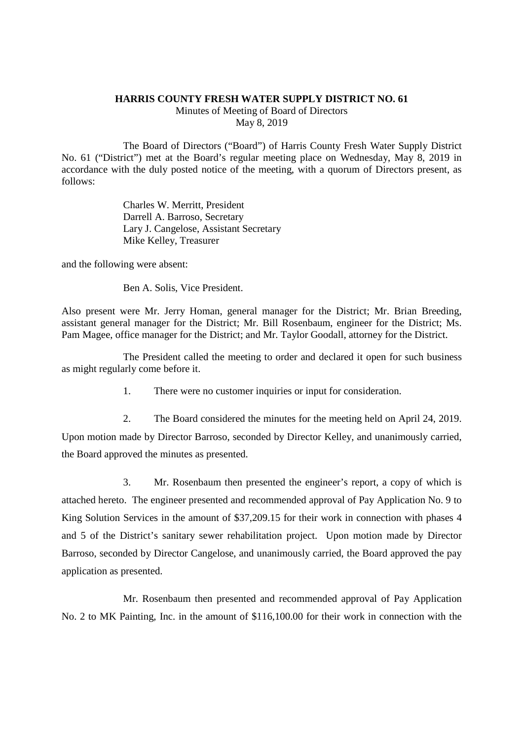## **HARRIS COUNTY FRESH WATER SUPPLY DISTRICT NO. 61**

Minutes of Meeting of Board of Directors May 8, 2019

The Board of Directors ("Board") of Harris County Fresh Water Supply District No. 61 ("District") met at the Board's regular meeting place on Wednesday, May 8, 2019 in accordance with the duly posted notice of the meeting, with a quorum of Directors present, as follows:

> Charles W. Merritt, President Darrell A. Barroso, Secretary Lary J. Cangelose, Assistant Secretary Mike Kelley, Treasurer

and the following were absent:

Ben A. Solis, Vice President.

Also present were Mr. Jerry Homan, general manager for the District; Mr. Brian Breeding, assistant general manager for the District; Mr. Bill Rosenbaum, engineer for the District; Ms. Pam Magee, office manager for the District; and Mr. Taylor Goodall, attorney for the District.

The President called the meeting to order and declared it open for such business as might regularly come before it.

1. There were no customer inquiries or input for consideration.

2. The Board considered the minutes for the meeting held on April 24, 2019. Upon motion made by Director Barroso, seconded by Director Kelley, and unanimously carried, the Board approved the minutes as presented.

3. Mr. Rosenbaum then presented the engineer's report, a copy of which is attached hereto. The engineer presented and recommended approval of Pay Application No. 9 to King Solution Services in the amount of \$37,209.15 for their work in connection with phases 4 and 5 of the District's sanitary sewer rehabilitation project. Upon motion made by Director Barroso, seconded by Director Cangelose, and unanimously carried, the Board approved the pay application as presented.

Mr. Rosenbaum then presented and recommended approval of Pay Application No. 2 to MK Painting, Inc. in the amount of \$116,100.00 for their work in connection with the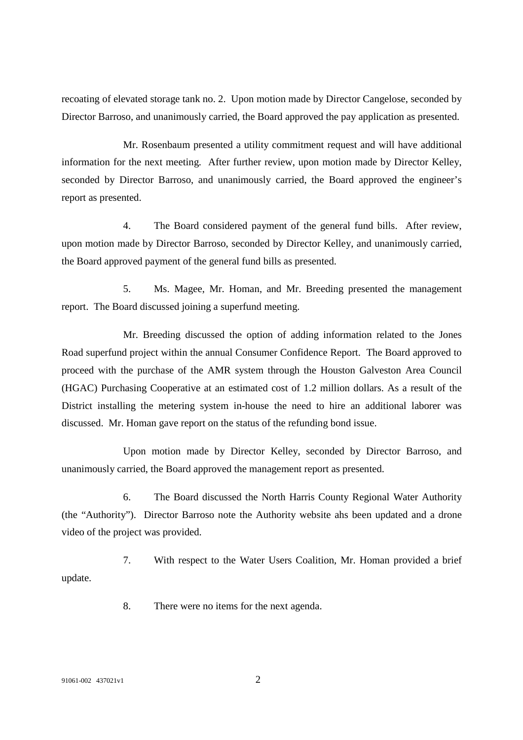recoating of elevated storage tank no. 2. Upon motion made by Director Cangelose, seconded by Director Barroso, and unanimously carried, the Board approved the pay application as presented.

Mr. Rosenbaum presented a utility commitment request and will have additional information for the next meeting. After further review, upon motion made by Director Kelley, seconded by Director Barroso, and unanimously carried, the Board approved the engineer's report as presented.

4. The Board considered payment of the general fund bills. After review, upon motion made by Director Barroso, seconded by Director Kelley, and unanimously carried, the Board approved payment of the general fund bills as presented.

5. Ms. Magee, Mr. Homan, and Mr. Breeding presented the management report. The Board discussed joining a superfund meeting.

Mr. Breeding discussed the option of adding information related to the Jones Road superfund project within the annual Consumer Confidence Report. The Board approved to proceed with the purchase of the AMR system through the Houston Galveston Area Council (HGAC) Purchasing Cooperative at an estimated cost of 1.2 million dollars. As a result of the District installing the metering system in-house the need to hire an additional laborer was discussed. Mr. Homan gave report on the status of the refunding bond issue.

Upon motion made by Director Kelley, seconded by Director Barroso, and unanimously carried, the Board approved the management report as presented.

6. The Board discussed the North Harris County Regional Water Authority (the "Authority"). Director Barroso note the Authority website ahs been updated and a drone video of the project was provided.

7. With respect to the Water Users Coalition, Mr. Homan provided a brief update.

8. There were no items for the next agenda.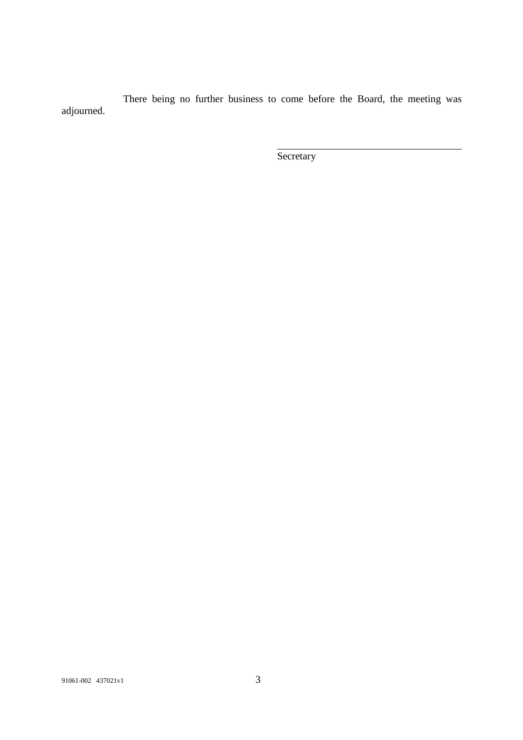There being no further business to come before the Board, the meeting was adjourned.

**Secretary**